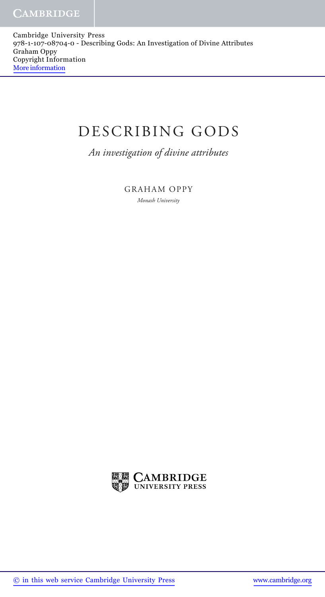Cambridge University Press 978-1-107-08704-0 - Describing Gods: An Investigation of Divine Attributes Graham Oppy Copyright Information More information

## DESCRIBING GODS

 *An investigation of divine attributes* 

 GRAHAM OPPY  *Monash University*